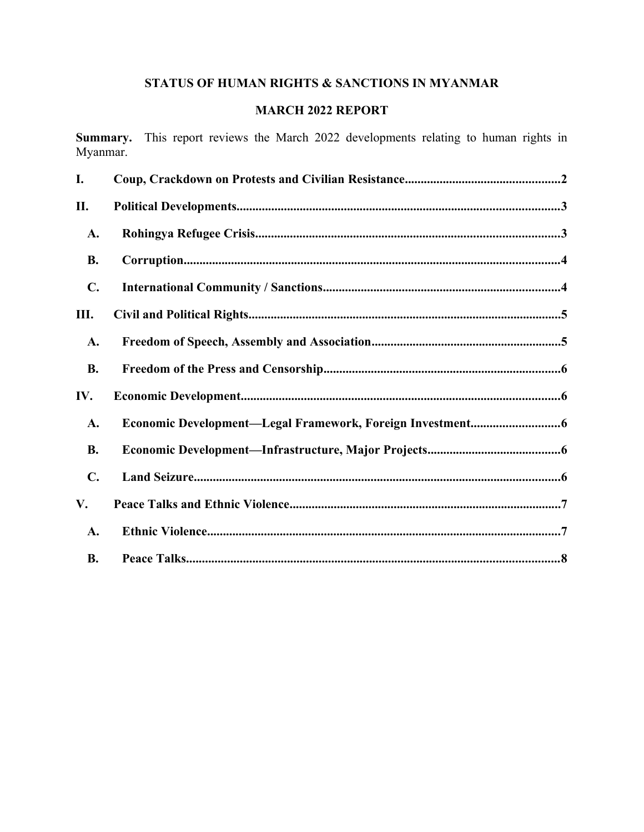# STATUS OF HUMAN RIGHTS & SANCTIONS IN MYANMAR

## **MARCH 2022 REPORT**

Summary. This report reviews the March 2022 developments relating to human rights in Myanmar.

| I.             |  |
|----------------|--|
| П.             |  |
| A.             |  |
| <b>B.</b>      |  |
| $\mathbf{C}$ . |  |
| III.           |  |
| A.             |  |
| <b>B.</b>      |  |
| IV.            |  |
| A.             |  |
| <b>B.</b>      |  |
| C.             |  |
| V.             |  |
| A.             |  |
| <b>B.</b>      |  |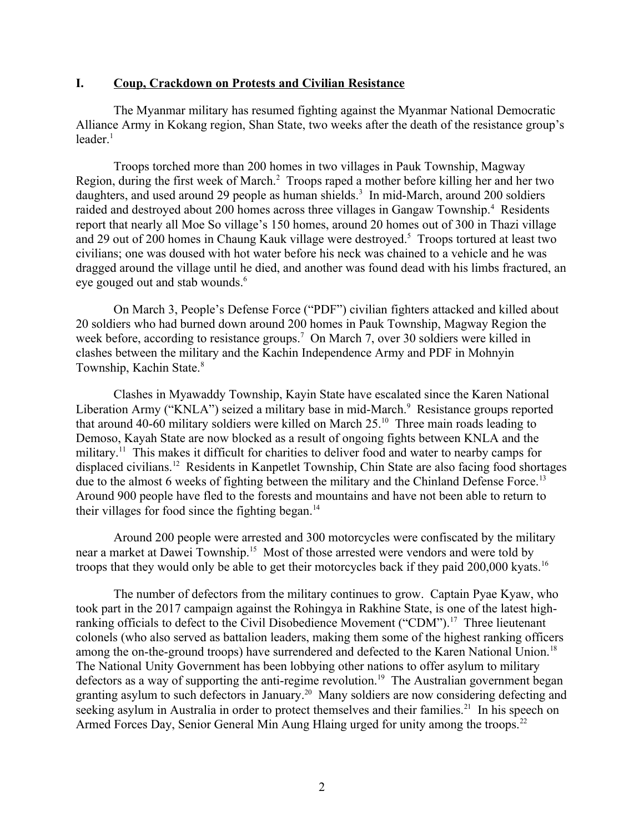#### <span id="page-1-0"></span>**I. Coup, Crackdown on Protests and Civilian Resistance**

The Myanmar military has resumed fighting against the Myanmar National Democratic Alliance Army in Kokang region, Shan State, two weeks after the death of the resistance group's leader $1$ 

<span id="page-1-2"></span><span id="page-1-1"></span>Troops torched more than 200 homes in two villages in Pauk Township, Magway Region, during the first week of March.<sup>[2](#page-8-1)</sup> Troops raped a mother before killing her and her two daughters, and used around 29 people as human shields.<sup>[3](#page-8-2)</sup> In mid-March, around 200 soldiers raided and destroved about 200 homes across three villages in Gangaw Township.<sup>[4](#page-8-3)</sup> Residents report that nearly all Moe So village's 150 homes, around 20 homes out of 300 in Thazi village and 29 out of 200 homes in Chaung Kauk village were destroved.<sup>[5](#page-8-4)</sup> Troops tortured at least two civilians; one was doused with hot water before his neck was chained to a vehicle and he was dragged around the village until he died, and another was found dead with his limbs fractured, an eye gouged out and stab wounds.<sup>[6](#page-8-5)</sup>

<span id="page-1-6"></span><span id="page-1-5"></span><span id="page-1-4"></span><span id="page-1-3"></span>On March 3, People's Defense Force ("PDF") civilian fighters attacked and killed about 20 soldiers who had burned down around 200 homes in Pauk Township, Magway Region the week before, according to resistance groups.<sup>[7](#page-8-6)</sup> On March 7, over 30 soldiers were killed in clashes between the military and the Kachin Independence Army and PDF in Mohnyin Township, Kachin State.[8](#page-8-7)

<span id="page-1-9"></span><span id="page-1-8"></span><span id="page-1-7"></span>Clashes in Myawaddy Township, Kayin State have escalated since the Karen National Liberation Army ("KNLA") seized a military base in mid-March.<sup>[9](#page-8-8)</sup> Resistance groups reported that around 40-60 military soldiers were killed on March  $25$ .<sup>[10](#page-8-9)</sup> Three main roads leading to Demoso, Kayah State are now blocked as a result of ongoing fights between KNLA and the military.<sup>[11](#page-8-10)</sup> This makes it difficult for charities to deliver food and water to nearby camps for displaced civilians.[12](#page-8-11) Residents in Kanpetlet Township, Chin State are also facing food shortages due to the almost 6 weeks of fighting between the military and the Chinland Defense Force.<sup>[13](#page-8-12)</sup> Around 900 people have fled to the forests and mountains and have not been able to return to their villages for food since the fighting began.<sup>[14](#page-8-13)</sup>

<span id="page-1-14"></span><span id="page-1-13"></span><span id="page-1-12"></span><span id="page-1-11"></span><span id="page-1-10"></span>Around 200 people were arrested and 300 motorcycles were confiscated by the military near a market at Dawei Township.[15](#page-8-14) Most of those arrested were vendors and were told by troops that they would only be able to get their motorcycles back if they paid 200,000 kyats.<sup>[16](#page-8-15)</sup>

<span id="page-1-22"></span><span id="page-1-21"></span><span id="page-1-20"></span><span id="page-1-19"></span><span id="page-1-18"></span><span id="page-1-17"></span><span id="page-1-16"></span><span id="page-1-15"></span>The number of defectors from the military continues to grow. Captain Pyae Kyaw, who took part in the 2017 campaign against the Rohingya in Rakhine State, is one of the latest high-ranking officials to defect to the Civil Disobedience Movement ("CDM").<sup>[17](#page-8-16)</sup> Three lieutenant colonels (who also served as battalion leaders, making them some of the highest ranking officers among the on-the-ground troops) have surrendered and defected to the Karen National Union.<sup>[18](#page-8-17)</sup> The National Unity Government has been lobbying other nations to offer asylum to military defectors as a way of supporting the anti-regime revolution.<sup>[19](#page-8-18)</sup> The Australian government began granting asylum to such defectors in January.[20](#page-8-19) Many soldiers are now considering defecting and seeking asylum in Australia in order to protect themselves and their families.<sup>[21](#page-8-20)</sup> In his speech on Armed Forces Day, Senior General Min Aung Hlaing urged for unity among the troops.<sup>[22](#page-8-21)</sup>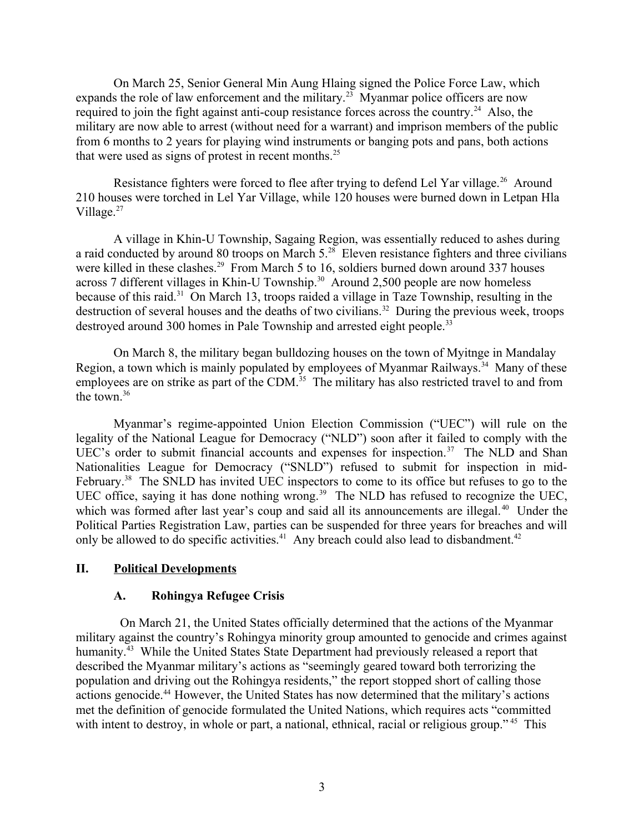On March 25, Senior General Min Aung Hlaing signed the Police Force Law, which expands the role of law enforcement and the military.<sup>[23](#page-8-22)</sup> Myanmar police officers are now required to join the fight against anti-coup resistance forces across the country.<sup>[24](#page-8-23)</sup> Also, the military are now able to arrest (without need for a warrant) and imprison members of the public from 6 months to 2 years for playing wind instruments or banging pots and pans, both actions that were used as signs of protest in recent months. $25$ 

<span id="page-2-4"></span><span id="page-2-3"></span><span id="page-2-2"></span>Resistance fighters were forced to flee after trying to defend Lel Yar village.<sup>[26](#page-8-25)</sup> Around 210 houses were torched in Lel Yar Village, while 120 houses were burned down in Letpan Hla Village.<sup>[27](#page-8-26)</sup>

<span id="page-2-6"></span><span id="page-2-5"></span>A village in Khin-U Township, Sagaing Region, was essentially reduced to ashes during a raid conducted by around 80 troops on March 5.[28](#page-8-27) Eleven resistance fighters and three civilians were killed in these clashes.<sup>[29](#page-8-28)</sup> From March 5 to 16, soldiers burned down around 337 houses across 7 different villages in Khin-U Township.<sup>[30](#page-8-29)</sup> Around 2,500 people are now homeless because of this raid.[31](#page-8-30) On March 13, troops raided a village in Taze Township, resulting in the destruction of several houses and the deaths of two civilians.<sup>[32](#page-8-31)</sup> During the previous week, troops destroyed around 300 homes in Pale Township and arrested eight people.<sup>[33](#page-8-32)</sup>

<span id="page-2-12"></span><span id="page-2-11"></span><span id="page-2-10"></span><span id="page-2-9"></span><span id="page-2-8"></span><span id="page-2-7"></span>On March 8, the military began bulldozing houses on the town of Myitnge in Mandalay Region, a town which is mainly populated by employees of Myanmar Railways.<sup>[34](#page-8-33)</sup> Many of these employees are on strike as part of the CDM.<sup>[35](#page-8-34)</sup> The military has also restricted travel to and from the town.[36](#page-8-35)

<span id="page-2-15"></span><span id="page-2-14"></span><span id="page-2-13"></span>Myanmar's regime-appointed Union Election Commission ("UEC") will rule on the legality of the National League for Democracy ("NLD") soon after it failed to comply with the UEC's order to submit financial accounts and expenses for inspection.<sup>[37](#page-8-36)</sup> The NLD and Shan Nationalities League for Democracy ("SNLD") refused to submit for inspection in mid-February.<sup>[38](#page-8-37)</sup> The SNLD has invited UEC inspectors to come to its office but refuses to go to the UEC office, saying it has done nothing wrong.<sup>[39](#page-8-38)</sup> The NLD has refused to recognize the UEC, which was formed after last year's coup and said all its announcements are illegal.<sup>[40](#page-8-39)</sup> Under the Political Parties Registration Law, parties can be suspended for three years for breaches and will only be allowed to do specific activities.<sup>[41](#page-8-40)</sup> Any breach could also lead to disbandment.<sup>[42](#page-8-41)</sup>

#### <span id="page-2-17"></span>**II. Political Developments**

#### <span id="page-2-24"></span><span id="page-2-21"></span><span id="page-2-20"></span><span id="page-2-19"></span><span id="page-2-18"></span><span id="page-2-16"></span><span id="page-2-1"></span><span id="page-2-0"></span>**A. Rohingya Refugee Crisis**

<span id="page-2-23"></span><span id="page-2-22"></span>On March 21, the United States officially determined that the actions of the Myanmar military against the country's Rohingya minority group amounted to genocide and crimes against humanity.<sup>[43](#page-8-42)</sup> While the United States State Department had previously released a report that described the Myanmar military's actions as "seemingly geared toward both terrorizing the population and driving out the Rohingya residents," the report stopped short of calling those actions genocide.<sup>[44](#page-8-43)</sup> However, the United States has now determined that the military's actions met the definition of genocide formulated the United Nations, which requires acts "committed with intent to destroy, in whole or part, a national, ethnical, racial or religious group."<sup>[45](#page-9-0)</sup> This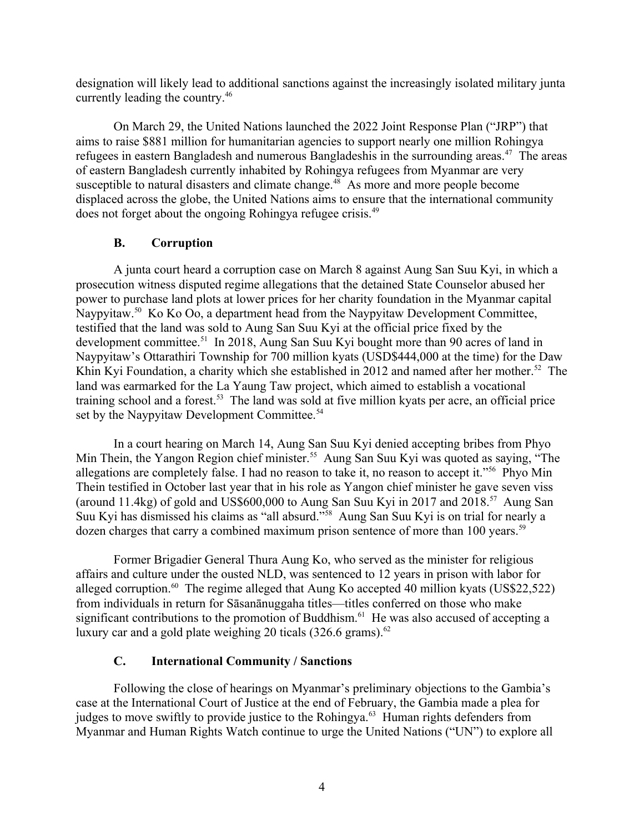designation will likely lead to additional sanctions against the increasingly isolated military junta currently leading the country.[46](#page-9-1)

On March 29, the United Nations launched the 2022 Joint Response Plan ("JRP") that aims to raise \$881 million for humanitarian agencies to support nearly one million Rohingya refugees in eastern Bangladesh and numerous Bangladeshis in the surrounding areas.<sup>[47](#page-9-2)</sup> The areas of eastern Bangladesh currently inhabited by Rohingya refugees from Myanmar are very susceptible to natural disasters and climate change.<sup>[48](#page-9-3)</sup> As more and more people become displaced across the globe, the United Nations aims to ensure that the international community does not forget about the ongoing Rohingya refugee crisis.[49](#page-9-4)

### <span id="page-3-8"></span><span id="page-3-5"></span><span id="page-3-4"></span><span id="page-3-3"></span><span id="page-3-2"></span><span id="page-3-1"></span>**B. Corruption**

A junta court heard a corruption case on March 8 against Aung San Suu Kyi, in which a prosecution witness disputed regime allegations that the detained State Counselor abused her power to purchase land plots at lower prices for her charity foundation in the Myanmar capital Naypyitaw.[50](#page-9-5) Ko Ko Oo, a department head from the Naypyitaw Development Committee, testified that the land was sold to Aung San Suu Kyi at the official price fixed by the development committee.[51](#page-9-6) In 2018, Aung San Suu Kyi bought more than 90 acres of land in Naypyitaw's Ottarathiri Township for 700 million kyats (USD\$444,000 at the time) for the Daw Khin Kyi Foundation, a charity which she established in 2012 and named after her mother.<sup>[52](#page-9-7)</sup> The land was earmarked for the La Yaung Taw project, which aimed to establish a vocational training school and a forest.<sup>[53](#page-9-8)</sup> The land was sold at five million kyats per acre, an official price set by the Naypyitaw Development Committee.<sup>[54](#page-9-9)</sup>

<span id="page-3-10"></span><span id="page-3-9"></span><span id="page-3-7"></span><span id="page-3-6"></span>In a court hearing on March 14, Aung San Suu Kyi denied accepting bribes from Phyo Min Thein, the Yangon Region chief minister.<sup>[55](#page-9-10)</sup> Aung San Suu Kyi was quoted as saying, "The allegations are completely false. I had no reason to take it, no reason to accept it."[56](#page-9-11) Phyo Min Thein testified in October last year that in his role as Yangon chief minister he gave seven viss (around 11.4kg) of gold and US\$600,000 to Aung San Suu Kyi in 2017 and 2018.<sup>[57](#page-9-12)</sup> Aung San Suu Kyi has dismissed his claims as "all absurd."[58](#page-9-13) Aung San Suu Kyi is on trial for nearly a dozen charges that carry a combined maximum prison sentence of more than 100 years.<sup>[59](#page-9-14)</sup>

<span id="page-3-11"></span>Former Brigadier General Thura Aung Ko, who served as the minister for religious affairs and culture under the ousted NLD, was sentenced to 12 years in prison with labor for alleged corruption.<sup>[60](#page-9-15)</sup> The regime alleged that Aung Ko accepted 40 million kyats (US\$22,522) from individuals in return for Sāsanānuggaha titles—titles conferred on those who make significant contributions to the promotion of Buddhism.<sup>[61](#page-9-16)</sup> He was also accused of accepting a luxury car and a gold plate weighing 20 ticals  $(326.6 \text{ grams})$ .<sup>[62](#page-9-17)</sup>

### <span id="page-3-19"></span><span id="page-3-18"></span><span id="page-3-17"></span><span id="page-3-16"></span><span id="page-3-15"></span><span id="page-3-14"></span><span id="page-3-13"></span><span id="page-3-12"></span><span id="page-3-0"></span>**C. International Community / Sanctions**

Following the close of hearings on Myanmar's preliminary objections to the Gambia's case at the International Court of Justice at the end of February, the Gambia made a plea for judges to move swiftly to provide justice to the Rohingya.<sup>[63](#page-9-18)</sup> Human rights defenders from Myanmar and Human Rights Watch continue to urge the United Nations ("UN") to explore all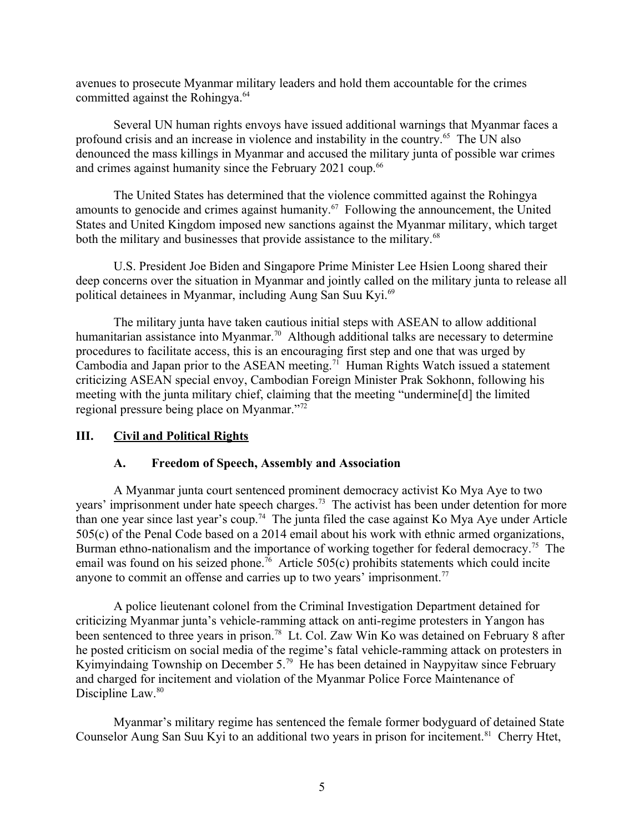avenues to prosecute Myanmar military leaders and hold them accountable for the crimes committed against the Rohingya.<sup>[64](#page-9-19)</sup>

<span id="page-4-2"></span>Several UN human rights envoys have issued additional warnings that Myanmar faces a profound crisis and an increase in violence and instability in the country.[65](#page-9-20) The UN also denounced the mass killings in Myanmar and accused the military junta of possible war crimes and crimes against humanity since the February 2021 coup.<sup>[66](#page-9-21)</sup>

<span id="page-4-4"></span><span id="page-4-3"></span>The United States has determined that the violence committed against the Rohingya amounts to genocide and crimes against humanity.[67](#page-9-22) Following the announcement, the United States and United Kingdom imposed new sanctions against the Myanmar military, which target both the military and businesses that provide assistance to the military.<sup>[68](#page-9-23)</sup>

<span id="page-4-6"></span><span id="page-4-5"></span>U.S. President Joe Biden and Singapore Prime Minister Lee Hsien Loong shared their deep concerns over the situation in Myanmar and jointly called on the military junta to release all political detainees in Myanmar, including Aung San Suu Kyi.<sup>[69](#page-9-24)</sup>

The military junta have taken cautious initial steps with ASEAN to allow additional humanitarian assistance into Myanmar.<sup>[70](#page-9-25)</sup> Although additional talks are necessary to determine procedures to facilitate access, this is an encouraging first step and one that was urged by Cambodia and Japan prior to the ASEAN meeting.<sup>[71](#page-9-26)</sup> Human Rights Watch issued a statement criticizing ASEAN special envoy, Cambodian Foreign Minister Prak Sokhonn, following his meeting with the junta military chief, claiming that the meeting "undermine[d] the limited regional pressure being place on Myanmar."[72](#page-9-27)

### **III. Civil and Political Rights**

### <span id="page-4-13"></span><span id="page-4-12"></span><span id="page-4-11"></span><span id="page-4-10"></span><span id="page-4-9"></span><span id="page-4-8"></span><span id="page-4-7"></span><span id="page-4-1"></span><span id="page-4-0"></span>**A. Freedom of Speech, Assembly and Association**

A Myanmar junta court sentenced prominent democracy activist Ko Mya Aye to two years' imprisonment under hate speech charges.<sup>[73](#page-9-28)</sup> The activist has been under detention for more than one year since last year's coup.<sup>[74](#page-9-29)</sup> The junta filed the case against Ko Mya Aye under Article 505(c) of the Penal Code based on a 2014 email about his work with ethnic armed organizations, Burman ethno-nationalism and the importance of working together for federal democracy.<sup>[75](#page-9-30)</sup> The email was found on his seized phone.<sup>[76](#page-9-31)</sup> Article 505(c) prohibits statements which could incite anyone to commit an offense and carries up to two years' imprisonment.<sup>[77](#page-9-32)</sup>

<span id="page-4-15"></span><span id="page-4-14"></span>A police lieutenant colonel from the Criminal Investigation Department detained for criticizing Myanmar junta's vehicle-ramming attack on anti-regime protesters in Yangon has been sentenced to three years in prison.<sup>[78](#page-9-33)</sup> Lt. Col. Zaw Win Ko was detained on February 8 after he posted criticism on social media of the regime's fatal vehicle-ramming attack on protesters in Kyimyindaing Township on December 5.<sup>[79](#page-9-34)</sup> He has been detained in Naypyitaw since February and charged for incitement and violation of the Myanmar Police Force Maintenance of Discipline Law.<sup>[80](#page-9-35)</sup>

<span id="page-4-19"></span><span id="page-4-18"></span><span id="page-4-17"></span><span id="page-4-16"></span>Myanmar's military regime has sentenced the female former bodyguard of detained State Counselor Aung San Suu Kyi to an additional two years in prison for incitement.<sup>[81](#page-9-36)</sup> Cherry Htet,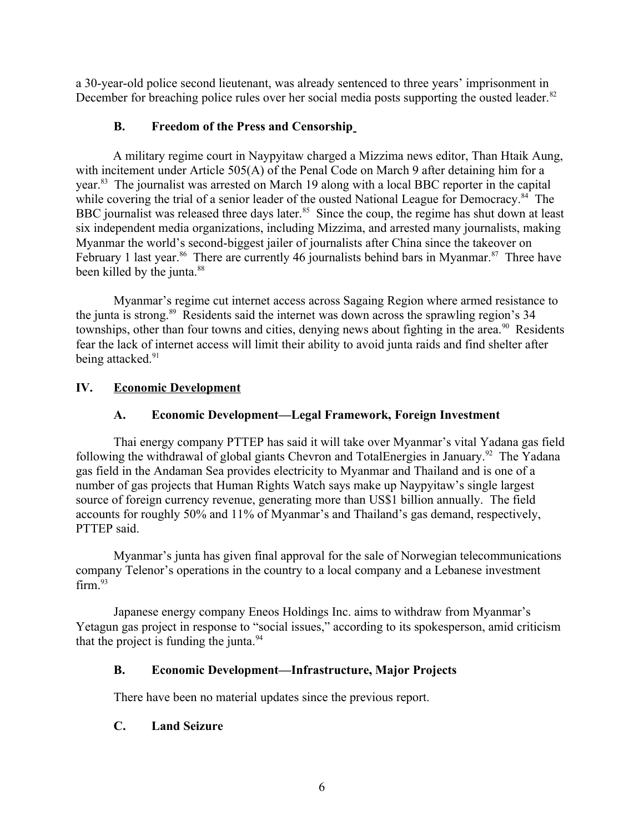a 30-year-old police second lieutenant, was already sentenced to three years' imprisonment in December for breaching police rules over her social media posts supporting the ousted leader. $82$ 

### <span id="page-5-7"></span><span id="page-5-5"></span><span id="page-5-4"></span>**B. Freedom of the Press and Censorship**

A military regime court in Naypyitaw charged a Mizzima news editor, Than Htaik Aung, with incitement under Article 505(A) of the Penal Code on March 9 after detaining him for a year.[83](#page-9-38) The journalist was arrested on March 19 along with a local BBC reporter in the capital while covering the trial of a senior leader of the ousted National League for Democracy.<sup>[84](#page-9-39)</sup> The BBC journalist was released three days later.<sup>[85](#page-9-40)</sup> Since the coup, the regime has shut down at least six independent media organizations, including Mizzima, and arrested many journalists, making Myanmar the world's second-biggest jailer of journalists after China since the takeover on February 1 last year.<sup>[86](#page-9-41)</sup> There are currently 46 journalists behind bars in Myanmar.<sup>[87](#page-9-42)</sup> Three have been killed by the junta.<sup>[88](#page-9-43)</sup>

<span id="page-5-11"></span><span id="page-5-9"></span><span id="page-5-8"></span><span id="page-5-6"></span>Myanmar's regime cut internet access across Sagaing Region where armed resistance to the junta is strong.<sup>[89](#page-9-44)</sup> Residents said the internet was down across the sprawling region's 34 townships, other than four towns and cities, denying news about fighting in the area.<sup>[90](#page-9-45)</sup> Residents fear the lack of internet access will limit their ability to avoid junta raids and find shelter after being attacked.<sup>[91](#page-9-46)</sup>

## **IV. Economic Development**

## <span id="page-5-15"></span><span id="page-5-14"></span><span id="page-5-13"></span><span id="page-5-12"></span><span id="page-5-10"></span><span id="page-5-3"></span><span id="page-5-2"></span>**A. Economic Development—Legal Framework, Foreign Investment**

Thai energy company PTTEP has said it will take over Myanmar's vital Yadana gas field following the withdrawal of global giants Chevron and TotalEnergies in January.<sup>[92](#page-9-47)</sup> The Yadana gas field in the Andaman Sea provides electricity to Myanmar and Thailand and is one of a number of gas projects that Human Rights Watch says make up Naypyitaw's single largest source of foreign currency revenue, generating more than US\$1 billion annually. The field accounts for roughly 50% and 11% of Myanmar's and Thailand's gas demand, respectively, PTTEP said.

Myanmar's junta has given final approval for the sale of Norwegian telecommunications company Telenor's operations in the country to a local company and a Lebanese investment  $firm.<sup>93</sup>$  $firm.<sup>93</sup>$  $firm.<sup>93</sup>$ 

Japanese energy company Eneos Holdings Inc. aims to withdraw from Myanmar's Yetagun gas project in response to "social issues," according to its spokesperson, amid criticism that the project is funding the junta. $94$ 

## <span id="page-5-16"></span><span id="page-5-1"></span>**B. Economic Development—Infrastructure, Major Projects**

<span id="page-5-17"></span>There have been no material updates since the previous report.

### <span id="page-5-0"></span>**C. Land Seizure**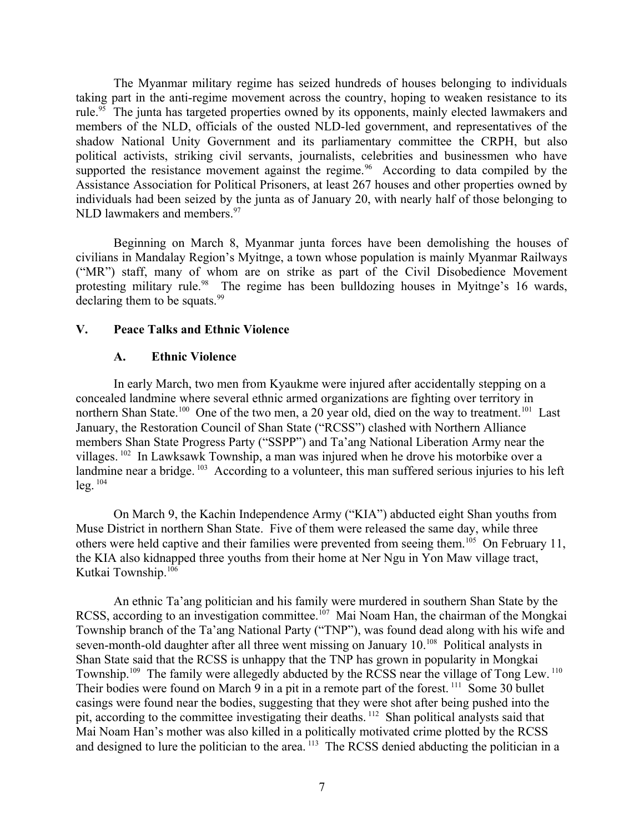The Myanmar military regime has seized hundreds of houses belonging to individuals taking part in the anti-regime movement across the country, hoping to weaken resistance to its rule.<sup>[95](#page-9-50)</sup> The junta has targeted properties owned by its opponents, mainly elected lawmakers and members of the NLD, officials of the ousted NLD-led government, and representatives of the shadow National Unity Government and its parliamentary committee the CRPH, but also political activists, striking civil servants, journalists, celebrities and businessmen who have supported the resistance movement against the regime.<sup>[96](#page-9-51)</sup> According to data compiled by the Assistance Association for Political Prisoners, at least 267 houses and other properties owned by individuals had been seized by the junta as of January 20, with nearly half of those belonging to NLD lawmakers and members.<sup>[97](#page-10-0)</sup>

<span id="page-6-2"></span>Beginning on March 8, Myanmar junta forces have been demolishing the houses of civilians in Mandalay Region's Myitnge, a town whose population is mainly Myanmar Railways ("MR") staff, many of whom are on strike as part of the Civil Disobedience Movement protesting military rule.<sup>[98](#page-10-1)</sup> The regime has been bulldozing houses in Myitnge's 16 wards, declaring them to be squats. $99$ 

#### **V. Peace Talks and Ethnic Violence**

#### <span id="page-6-8"></span><span id="page-6-6"></span><span id="page-6-5"></span><span id="page-6-4"></span><span id="page-6-3"></span><span id="page-6-1"></span><span id="page-6-0"></span>**A. Ethnic Violence**

In early March, two men from Kyaukme were injured after accidentally stepping on a concealed landmine where several ethnic armed organizations are fighting over territory in northern Shan State.<sup>[100](#page-10-3)</sup> One of the two men, a 20 year old, died on the way to treatment.<sup>[101](#page-10-4)</sup> Last January, the Restoration Council of Shan State ("RCSS") clashed with Northern Alliance members Shan State Progress Party ("SSPP") and Ta'ang National Liberation Army near the villages. [102](#page-10-5) In Lawksawk Township, a man was injured when he drove his motorbike over a landmine near a bridge. <sup>[103](#page-10-6)</sup> According to a volunteer, this man suffered serious injuries to his left  $leg.$ <sup>[104](#page-10-7)</sup>

<span id="page-6-11"></span><span id="page-6-10"></span><span id="page-6-9"></span><span id="page-6-7"></span>On March 9, the Kachin Independence Army ("KIA") abducted eight Shan youths from Muse District in northern Shan State. Five of them were released the same day, while three others were held captive and their families were prevented from seeing them.<sup>[105](#page-10-8)</sup> On February 11, the KIA also kidnapped three youths from their home at Ner Ngu in Yon Maw village tract, Kutkai Township.[106](#page-10-9)

<span id="page-6-20"></span><span id="page-6-19"></span><span id="page-6-18"></span><span id="page-6-17"></span><span id="page-6-16"></span><span id="page-6-15"></span><span id="page-6-14"></span><span id="page-6-13"></span><span id="page-6-12"></span>An ethnic Ta'ang politician and his family were murdered in southern Shan State by the RCSS, according to an investigation committee.<sup>[107](#page-10-10)</sup> Mai Noam Han, the chairman of the Mongkai Township branch of the Ta'ang National Party ("TNP"), was found dead along with his wife and seven-month-old daughter after all three went missing on January 10.<sup>[108](#page-10-11)</sup> Political analysts in Shan State said that the RCSS is unhappy that the TNP has grown in popularity in Mongkai Township.<sup>[109](#page-10-12)</sup> The family were allegedly abducted by the RCSS near the village of Tong Lew.<sup>[110](#page-10-13)</sup> Their bodies were found on March 9 in a pit in a remote part of the forest.<sup>[111](#page-10-14)</sup> Some 30 bullet casings were found near the bodies, suggesting that they were shot after being pushed into the pit, according to the committee investigating their deaths. [112](#page-10-15) Shan political analysts said that Mai Noam Han's mother was also killed in a politically motivated crime plotted by the RCSS and designed to lure the politician to the area.<sup>[113](#page-10-16)</sup> The RCSS denied abducting the politician in a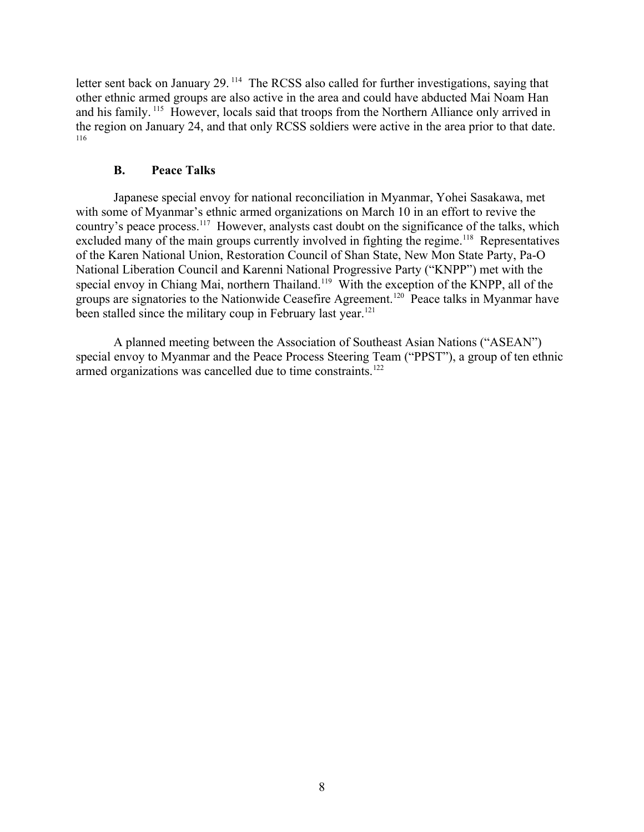letter sent back on January 29.<sup>[114](#page-10-17)</sup> The RCSS also called for further investigations, saying that other ethnic armed groups are also active in the area and could have abducted Mai Noam Han and his family. [115](#page-10-18) However, locals said that troops from the Northern Alliance only arrived in the region on January 24, and that only RCSS soldiers were active in the area prior to that date. [116](#page-10-19)

#### <span id="page-7-5"></span><span id="page-7-4"></span><span id="page-7-2"></span><span id="page-7-1"></span><span id="page-7-0"></span>**B. Peace Talks**

<span id="page-7-3"></span>Japanese special envoy for national reconciliation in Myanmar, Yohei Sasakawa, met with some of Myanmar's ethnic armed organizations on March 10 in an effort to revive the country's peace process.<sup>[117](#page-10-20)</sup> However, analysts cast doubt on the significance of the talks, which excluded many of the main groups currently involved in fighting the regime.<sup>[118](#page-10-21)</sup> Representatives of the Karen National Union, Restoration Council of Shan State, New Mon State Party, Pa-O National Liberation Council and Karenni National Progressive Party ("KNPP") met with the special envoy in Chiang Mai, northern Thailand.<sup>[119](#page-10-22)</sup> With the exception of the KNPP, all of the groups are signatories to the Nationwide Ceasefire Agreement.[120](#page-10-23) Peace talks in Myanmar have been stalled since the military coup in February last year.<sup>[121](#page-10-24)</sup>

<span id="page-7-9"></span><span id="page-7-8"></span><span id="page-7-7"></span><span id="page-7-6"></span>A planned meeting between the Association of Southeast Asian Nations ("ASEAN") special envoy to Myanmar and the Peace Process Steering Team ("PPST"), a group of ten ethnic armed organizations was cancelled due to time constraints.<sup>[122](#page-10-25)</sup>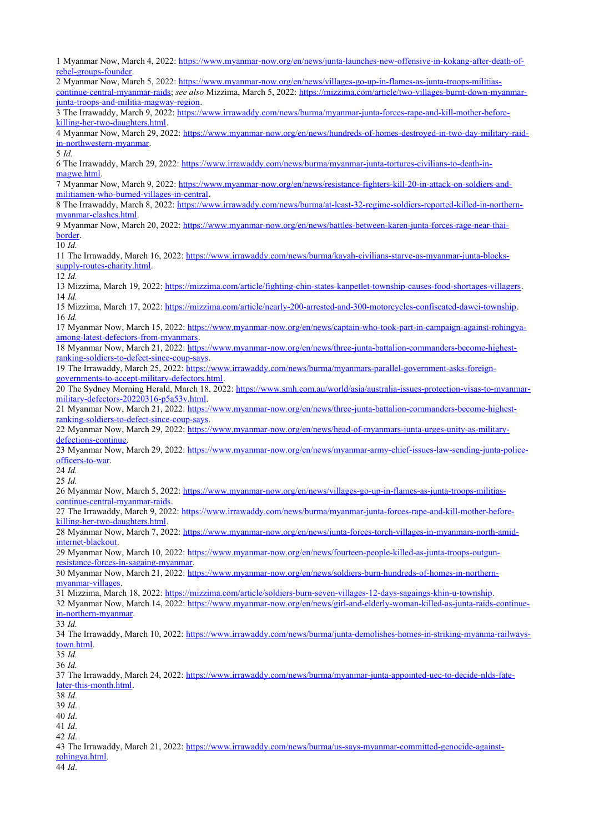<span id="page-8-3"></span><span id="page-8-2"></span><span id="page-8-1"></span><span id="page-8-0"></span> Myanmar Now, March 4, 2022: [https://www.myanmar-now.org/en/news/junta-launches-new-offensive-in-kokang-after-death-of](https://www.myanmar-now.org/en/news/junta-launches-new-offensive-in-kokang-after-death-of-rebel-groups-founder)[rebel-groups-founder](https://www.myanmar-now.org/en/news/junta-launches-new-offensive-in-kokang-after-death-of-rebel-groups-founder). Myanmar Now, March 5, 2022: [https://www.myanmar-now.org/en/news/villages-go-up-in-flames-as-junta-troops-militias](https://www.myanmar-now.org/en/news/villages-go-up-in-flames-as-junta-troops-militias-continue-central-myanmar-raids)[continue-central-myanmar-raids;](https://www.myanmar-now.org/en/news/villages-go-up-in-flames-as-junta-troops-militias-continue-central-myanmar-raids) *see also* Mizzima, March 5, 2022: [https://mizzima.com/article/two-villages-burnt-down-myanmar](https://mizzima.com/article/two-villages-burnt-down-myanmar-junta-troops-and-militia-magway-region)[junta-troops-and-militia-magway-region](https://mizzima.com/article/two-villages-burnt-down-myanmar-junta-troops-and-militia-magway-region). The Irrawaddy, March 9, 2022: [https://www.irrawaddy.com/news/burma/myanmar-junta-forces-rape-and-kill-mother-before](https://www.irrawaddy.com/news/burma/myanmar-junta-forces-rape-and-kill-mother-before-killing-her-two-daughters.html)[killing-her-two-daughters.html](https://www.irrawaddy.com/news/burma/myanmar-junta-forces-rape-and-kill-mother-before-killing-her-two-daughters.html).

<span id="page-8-6"></span><span id="page-8-5"></span><span id="page-8-4"></span> Myanmar Now, March 29, 2022: [https://www.myanmar-now.org/en/news/hundreds-of-homes-destroyed-in-two-day-military-raid](https://www.myanmar-now.org/en/news/hundreds-of-homes-destroyed-in-two-day-military-raid-in-northwestern-myanmar)[in-northwestern-myanmar.](https://www.myanmar-now.org/en/news/hundreds-of-homes-destroyed-in-two-day-military-raid-in-northwestern-myanmar)

<span id="page-8-7"></span>*Id.*

 The Irrawaddy, March 29, 2022: [https://www.irrawaddy.com/news/burma/myanmar-junta-tortures-civilians-to-death-in](https://www.irrawaddy.com/news/burma/myanmar-junta-tortures-civilians-to-death-in-magwe.html)[magwe.html.](https://www.irrawaddy.com/news/burma/myanmar-junta-tortures-civilians-to-death-in-magwe.html)

<span id="page-8-8"></span> Myanmar Now, March 9, 2022: [https://www.myanmar-now.org/en/news/resistance-fighters-kill-20-in-attack-on-soldiers-and](https://www.myanmar-now.org/en/news/resistance-fighters-kill-20-in-attack-on-soldiers-and-militiamen-who-burned-villages-in-central)[militiamen-who-burned-villages-in-central.](https://www.myanmar-now.org/en/news/resistance-fighters-kill-20-in-attack-on-soldiers-and-militiamen-who-burned-villages-in-central)

<span id="page-8-10"></span><span id="page-8-9"></span> The Irrawaddy, March 8, 2022: [https://www.irrawaddy.com/news/burma/at-least-32-regime-soldiers-reported-killed-in-northern](https://www.irrawaddy.com/news/burma/at-least-32-regime-soldiers-reported-killed-in-northern-myanmar-clashes.html)[myanmar-clashes.html](https://www.irrawaddy.com/news/burma/at-least-32-regime-soldiers-reported-killed-in-northern-myanmar-clashes.html).

<span id="page-8-11"></span> Myanmar Now, March 20, 2022: [https://www.myanmar-now.org/en/news/battles-between-karen-junta-forces-rage-near-thai](https://www.myanmar-now.org/en/news/battles-between-karen-junta-forces-rage-near-thai-border)[border](https://www.myanmar-now.org/en/news/battles-between-karen-junta-forces-rage-near-thai-border).

<span id="page-8-13"></span><span id="page-8-12"></span>*Id.*

<span id="page-8-14"></span> The Irrawaddy, March 16, 2022: [https://www.irrawaddy.com/news/burma/kayah-civilians-starve-as-myanmar-junta-blocks](https://www.irrawaddy.com/news/burma/kayah-civilians-starve-as-myanmar-junta-blocks-supply-routes-charity.html)[supply-routes-charity.html.](https://www.irrawaddy.com/news/burma/kayah-civilians-starve-as-myanmar-junta-blocks-supply-routes-charity.html)

<span id="page-8-16"></span><span id="page-8-15"></span>*Id.*

 Mizzima, March 19, 2022: <https://mizzima.com/article/fighting-chin-states-kanpetlet-township-causes-food-shortages-villagers>. *Id.*

<span id="page-8-17"></span> Mizzima, March 17, 2022: <https://mizzima.com/article/nearly-200-arrested-and-300-motorcycles-confiscated-dawei-township>. *Id.*

<span id="page-8-18"></span> Myanmar Now, March 15, 2022: [https://www.myanmar-now.org/en/news/captain-who-took-part-in-campaign-against-rohingya](https://www.myanmar-now.org/en/news/captain-who-took-part-in-campaign-against-rohingya-among-latest-defectors-from-myanmars)[among-latest-defectors-from-myanmars](https://www.myanmar-now.org/en/news/captain-who-took-part-in-campaign-against-rohingya-among-latest-defectors-from-myanmars).

<span id="page-8-19"></span> Myanmar Now, March 21, 2022: [https://www.myanmar-now.org/en/news/three-junta-battalion-commanders-become-highest](https://www.myanmar-now.org/en/news/three-junta-battalion-commanders-become-highest-ranking-soldiers-to-defect-since-coup-says)[ranking-soldiers-to-defect-since-coup-says.](https://www.myanmar-now.org/en/news/three-junta-battalion-commanders-become-highest-ranking-soldiers-to-defect-since-coup-says)

<span id="page-8-20"></span> The Irrawaddy, March 25, 2022: [https://www.irrawaddy.com/news/burma/myanmars-parallel-government-asks-foreign](https://www.irrawaddy.com/news/burma/myanmars-parallel-government-asks-foreign-governments-to-accept-military-defectors.html)[governments-to-accept-military-defectors.html](https://www.irrawaddy.com/news/burma/myanmars-parallel-government-asks-foreign-governments-to-accept-military-defectors.html).

<span id="page-8-21"></span> The Sydney Morning Herald, March 18, 2022: [https://www.smh.com.au/world/asia/australia-issues-protection-visas-to-myanmar](https://www.smh.com.au/world/asia/australia-issues-protection-visas-to-myanmar-military-defectors-20220316-p5a53v.html)[military-defectors-20220316-p5a53v.html](https://www.smh.com.au/world/asia/australia-issues-protection-visas-to-myanmar-military-defectors-20220316-p5a53v.html).

<span id="page-8-22"></span> Myanmar Now, March 21, 2022: [https://www.myanmar-now.org/en/news/three-junta-battalion-commanders-become-highest](https://www.myanmar-now.org/en/news/three-junta-battalion-commanders-become-highest-ranking-soldiers-to-defect-since-coup-says)[ranking-soldiers-to-defect-since-coup-says.](https://www.myanmar-now.org/en/news/three-junta-battalion-commanders-become-highest-ranking-soldiers-to-defect-since-coup-says)

<span id="page-8-24"></span><span id="page-8-23"></span> Myanmar Now, March 29, 2022: [https://www.myanmar-now.org/en/news/head-of-myanmars-junta-urges-unity-as-military](https://www.myanmar-now.org/en/news/head-of-myanmars-junta-urges-unity-as-military-defections-continue)[defections-continue.](https://www.myanmar-now.org/en/news/head-of-myanmars-junta-urges-unity-as-military-defections-continue)

<span id="page-8-25"></span> Myanmar Now, March 29, 2022: [https://www.myanmar-now.org/en/news/myanmar-army-chief-issues-law-sending-junta-police](https://www.myanmar-now.org/en/news/myanmar-army-chief-issues-law-sending-junta-police-officers-to-war)[officers-to-war.](https://www.myanmar-now.org/en/news/myanmar-army-chief-issues-law-sending-junta-police-officers-to-war)

<span id="page-8-26"></span>*Id.*

<span id="page-8-27"></span>*Id.*

 Myanmar Now, March 5, 2022: [https://www.myanmar-now.org/en/news/villages-go-up-in-flames-as-junta-troops-militias](https://www.myanmar-now.org/en/news/villages-go-up-in-flames-as-junta-troops-militias-continue-central-myanmar-raids)[continue-central-myanmar-raids.](https://www.myanmar-now.org/en/news/villages-go-up-in-flames-as-junta-troops-militias-continue-central-myanmar-raids)

<span id="page-8-28"></span> The Irrawaddy, March 9, 2022: [https://www.irrawaddy.com/news/burma/myanmar-junta-forces-rape-and-kill-mother-before](https://www.irrawaddy.com/news/burma/myanmar-junta-forces-rape-and-kill-mother-before-killing-her-two-daughters.html)[killing-her-two-daughters.html](https://www.irrawaddy.com/news/burma/myanmar-junta-forces-rape-and-kill-mother-before-killing-her-two-daughters.html).

<span id="page-8-29"></span> Myanmar Now, March 7, 2022: [https://www.myanmar-now.org/en/news/junta-forces-torch-villages-in-myanmars-north-amid](https://www.myanmar-now.org/en/news/junta-forces-torch-villages-in-myanmars-north-amid-internet-blackout)[internet-blackout](https://www.myanmar-now.org/en/news/junta-forces-torch-villages-in-myanmars-north-amid-internet-blackout).

<span id="page-8-31"></span><span id="page-8-30"></span> Myanmar Now, March 10, 2022: [https://www.myanmar-now.org/en/news/fourteen-people-killed-as-junta-troops-outgun](https://www.myanmar-now.org/en/news/fourteen-people-killed-as-junta-troops-outgun-resistance-forces-in-sagaing-myanmar)[resistance-forces-in-sagaing-myanmar.](https://www.myanmar-now.org/en/news/fourteen-people-killed-as-junta-troops-outgun-resistance-forces-in-sagaing-myanmar)

<span id="page-8-32"></span> Myanmar Now, March 21, 2022: [https://www.myanmar-now.org/en/news/soldiers-burn-hundreds-of-homes-in-northern](https://www.myanmar-now.org/en/news/soldiers-burn-hundreds-of-homes-in-northern-myanmar-villages)[myanmar-villages.](https://www.myanmar-now.org/en/news/soldiers-burn-hundreds-of-homes-in-northern-myanmar-villages)

<span id="page-8-33"></span>Mizzima, March 18, 2022: <https://mizzima.com/article/soldiers-burn-seven-villages-12-days-sagaings-khin-u-township>.

<span id="page-8-34"></span> Myanmar Now, March 14, 2022: [https://www.myanmar-now.org/en/news/girl-and-elderly-woman-killed-as-junta-raids-continue](https://www.myanmar-now.org/en/news/girl-and-elderly-woman-killed-as-junta-raids-continue-in-northern-myanmar)[in-northern-myanmar](https://www.myanmar-now.org/en/news/girl-and-elderly-woman-killed-as-junta-raids-continue-in-northern-myanmar).

<span id="page-8-36"></span><span id="page-8-35"></span>*Id.*

 The Irrawaddy, March 10, 2022: [https://www.irrawaddy.com/news/burma/junta-demolishes-homes-in-striking-myanma-railways](https://www.irrawaddy.com/news/burma/junta-demolishes-homes-in-striking-myanma-railways-town.html)[town.html.](https://www.irrawaddy.com/news/burma/junta-demolishes-homes-in-striking-myanma-railways-town.html)

<span id="page-8-38"></span><span id="page-8-37"></span>*Id.*

<span id="page-8-39"></span>*Id.*

<span id="page-8-40"></span> The Irrawaddy, March 24, 2022: [https://www.irrawaddy.com/news/burma/myanmar-junta-appointed-uec-to-decide-nlds-fate](https://www.irrawaddy.com/news/burma/myanmar-junta-appointed-uec-to-decide-nlds-fate-later-this-month.html)[later-this-month.html.](https://www.irrawaddy.com/news/burma/myanmar-junta-appointed-uec-to-decide-nlds-fate-later-this-month.html)

<span id="page-8-42"></span><span id="page-8-41"></span>*Id*.

*Id*.

<span id="page-8-43"></span>*Id*.

*Id*.

*Id*.

 The Irrawaddy, March 21, 2022: [https://www.irrawaddy.com/news/burma/us-says-myanmar-committed-genocide-against](https://www.irrawaddy.com/news/burma/us-says-myanmar-committed-genocide-against-rohingya.html)[rohingya.html.](https://www.irrawaddy.com/news/burma/us-says-myanmar-committed-genocide-against-rohingya.html)

*Id*.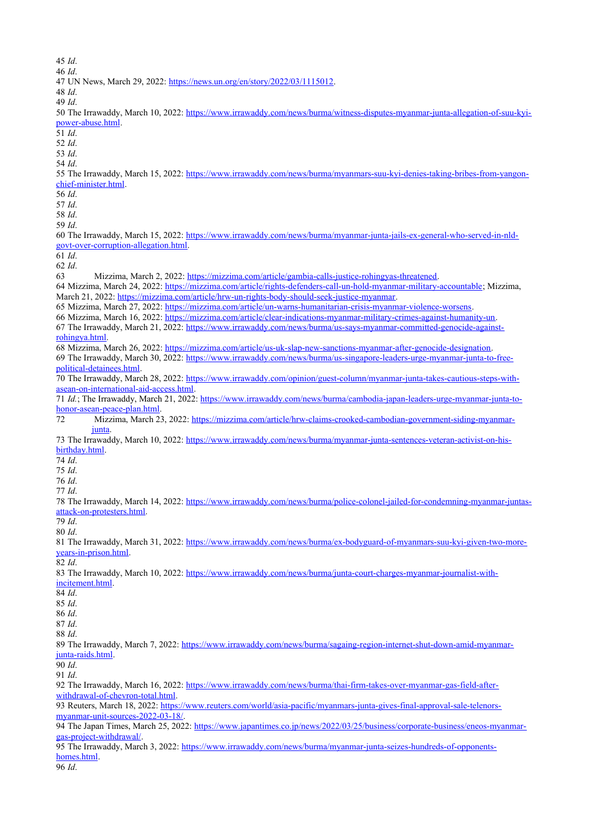<span id="page-9-5"></span><span id="page-9-4"></span><span id="page-9-3"></span><span id="page-9-2"></span><span id="page-9-1"></span><span id="page-9-0"></span>*Id*.

*Id*.

<span id="page-9-6"></span>UN News, March 29, 2022: <https://news.un.org/en/story/2022/03/1115012>.

<span id="page-9-7"></span>*Id*.

<span id="page-9-8"></span>*Id*.

<span id="page-9-11"></span> *Id*. *Id*. *Id*.

<span id="page-9-10"></span>[power-abuse.html.](https://www.irrawaddy.com/news/burma/witness-disputes-myanmar-junta-allegation-of-suu-kyi-power-abuse.html)

<span id="page-9-28"></span><span id="page-9-27"></span><span id="page-9-26"></span><span id="page-9-25"></span><span id="page-9-24"></span><span id="page-9-23"></span><span id="page-9-22"></span><span id="page-9-21"></span><span id="page-9-20"></span><span id="page-9-19"></span><span id="page-9-18"></span><span id="page-9-17"></span><span id="page-9-16"></span><span id="page-9-15"></span><span id="page-9-14"></span><span id="page-9-13"></span><span id="page-9-12"></span> *Id*. The Irrawaddy, March 15, 2022: [https://www.irrawaddy.com/news/burma/myanmars-suu-kyi-denies-taking-bribes-from-yangon](https://www.irrawaddy.com/news/burma/myanmars-suu-kyi-denies-taking-bribes-from-yangon-chief-minister.html)[chief-minister.html](https://www.irrawaddy.com/news/burma/myanmars-suu-kyi-denies-taking-bribes-from-yangon-chief-minister.html). *Id*. *Id*. *Id*. *Id*. The Irrawaddy, March 15, 2022: [https://www.irrawaddy.com/news/burma/myanmar-junta-jails-ex-general-who-served-in-nld](https://www.irrawaddy.com/news/burma/myanmar-junta-jails-ex-general-who-served-in-nld-govt-over-corruption-allegation.html)[govt-over-corruption-allegation.html](https://www.irrawaddy.com/news/burma/myanmar-junta-jails-ex-general-who-served-in-nld-govt-over-corruption-allegation.html). *Id*. *Id*. Mizzima, March 2, 2022:<https://mizzima.com/article/gambia-calls-justice-rohingyas-threatened>. Mizzima, March 24, 2022: <https://mizzima.com/article/rights-defenders-call-un-hold-myanmar-military-accountable>; Mizzima, March 21, 2022: <https://mizzima.com/article/hrw-un-rights-body-should-seek-justice-myanmar>. Mizzima, March 27, 2022: <https://mizzima.com/article/un-warns-humanitarian-crisis-myanmar-violence-worsens>. Mizzima, March 16, 2022: <https://mizzima.com/article/clear-indications-myanmar-military-crimes-against-humanity-un>. The Irrawaddy, March 21, 2022: [https://www.irrawaddy.com/news/burma/us-says-myanmar-committed-genocide-against](https://www.irrawaddy.com/news/burma/us-says-myanmar-committed-genocide-against-rohingya.html)[rohingya.html.](https://www.irrawaddy.com/news/burma/us-says-myanmar-committed-genocide-against-rohingya.html) Mizzima, March 26, 2022: <https://mizzima.com/article/us-uk-slap-new-sanctions-myanmar-after-genocide-designation>. The Irrawaddy, March 30, 2022: [https://www.irrawaddy.com/news/burma/us-singapore-leaders-urge-myanmar-junta-to-free](https://www.irrawaddy.com/news/burma/us-singapore-leaders-urge-myanmar-junta-to-free-political-detainees.html)[political-detainees.html](https://www.irrawaddy.com/news/burma/us-singapore-leaders-urge-myanmar-junta-to-free-political-detainees.html). The Irrawaddy, March 28, 2022: [https://www.irrawaddy.com/opinion/guest-column/myanmar-junta-takes-cautious-steps-with](https://www.irrawaddy.com/opinion/guest-column/myanmar-junta-takes-cautious-steps-with-asean-on-international-aid-access.html)[asean-on-international-aid-access.html](https://www.irrawaddy.com/opinion/guest-column/myanmar-junta-takes-cautious-steps-with-asean-on-international-aid-access.html). *Id.*; The Irrawaddy, March 21, 2022: [https://www.irrawaddy.com/news/burma/cambodia-japan-leaders-urge-myanmar-junta-to](https://www.irrawaddy.com/news/burma/cambodia-japan-leaders-urge-myanmar-junta-to-honor-asean-peace-plan.html)[honor-asean-peace-plan.html](https://www.irrawaddy.com/news/burma/cambodia-japan-leaders-urge-myanmar-junta-to-honor-asean-peace-plan.html). Mizzima, March 23, 2022: [https://mizzima.com/article/hrw-claims-crooked-cambodian-government-siding-myanmar](https://mizzima.com/article/hrw-claims-crooked-cambodian-government-siding-myanmar-junta)[junta.](https://mizzima.com/article/hrw-claims-crooked-cambodian-government-siding-myanmar-junta) The Irrawaddy, March 10, 2022: [https://www.irrawaddy.com/news/burma/myanmar-junta-sentences-veteran-activist-on-his](https://www.irrawaddy.com/news/burma/myanmar-junta-sentences-veteran-activist-on-his-birthday.html)[birthday.html.](https://www.irrawaddy.com/news/burma/myanmar-junta-sentences-veteran-activist-on-his-birthday.html) *Id*. *Id*. *Id*. *Id*. The Irrawaddy, March 14, 2022: [https://www.irrawaddy.com/news/burma/police-colonel-jailed-for-condemning-myanmar-juntas](https://www.irrawaddy.com/news/burma/police-colonel-jailed-for-condemning-myanmar-juntas-attack-on-protesters.html)[attack-on-protesters.html](https://www.irrawaddy.com/news/burma/police-colonel-jailed-for-condemning-myanmar-juntas-attack-on-protesters.html). *Id*. *Id*. The Irrawaddy, March 31, 2022: [https://www.irrawaddy.com/news/burma/ex-bodyguard-of-myanmars-suu-kyi-given-two-more](https://www.irrawaddy.com/news/burma/ex-bodyguard-of-myanmars-suu-kyi-given-two-more-years-in-prison.html)[years-in-prison.html](https://www.irrawaddy.com/news/burma/ex-bodyguard-of-myanmars-suu-kyi-given-two-more-years-in-prison.html). *Id*. The Irrawaddy, March 10, 2022: [https://www.irrawaddy.com/news/burma/junta-court-charges-myanmar-journalist-with](https://www.irrawaddy.com/news/burma/junta-court-charges-myanmar-journalist-with-incitement.html)[incitement.html.](https://www.irrawaddy.com/news/burma/junta-court-charges-myanmar-journalist-with-incitement.html) *Id*. *Id*. *Id*. *Id*. *Id*.

<span id="page-9-9"></span>The Irrawaddy, March 10, 2022: [https://www.irrawaddy.com/news/burma/witness-disputes-myanmar-junta-allegation-of-suu-kyi-](https://www.irrawaddy.com/news/burma/witness-disputes-myanmar-junta-allegation-of-suu-kyi-power-abuse.html)

<span id="page-9-47"></span><span id="page-9-46"></span><span id="page-9-45"></span><span id="page-9-44"></span><span id="page-9-43"></span><span id="page-9-42"></span><span id="page-9-41"></span><span id="page-9-40"></span><span id="page-9-39"></span><span id="page-9-38"></span><span id="page-9-37"></span><span id="page-9-36"></span><span id="page-9-35"></span><span id="page-9-34"></span><span id="page-9-33"></span><span id="page-9-32"></span><span id="page-9-31"></span><span id="page-9-30"></span><span id="page-9-29"></span> The Irrawaddy, March 7, 2022: [https://www.irrawaddy.com/news/burma/sagaing-region-internet-shut-down-amid-myanmar](https://www.irrawaddy.com/news/burma/sagaing-region-internet-shut-down-amid-myanmar-junta-raids.html)[junta-raids.html](https://www.irrawaddy.com/news/burma/sagaing-region-internet-shut-down-amid-myanmar-junta-raids.html).

<span id="page-9-48"></span> *Id*. *Id*.

<span id="page-9-49"></span> The Irrawaddy, March 16, 2022: [https://www.irrawaddy.com/news/burma/thai-firm-takes-over-myanmar-gas-field-after](https://www.irrawaddy.com/news/burma/thai-firm-takes-over-myanmar-gas-field-after-withdrawal-of-chevron-total.html)[withdrawal-of-chevron-total.html](https://www.irrawaddy.com/news/burma/thai-firm-takes-over-myanmar-gas-field-after-withdrawal-of-chevron-total.html).

<span id="page-9-50"></span> Reuters, March 18, 2022: [https://www.reuters.com/world/asia-pacific/myanmars-junta-gives-final-approval-sale-telenors](https://www.reuters.com/world/asia-pacific/myanmars-junta-gives-final-approval-sale-telenors-myanmar-unit-sources-2022-03-18/)[myanmar-unit-sources-2022-03-18/](https://www.reuters.com/world/asia-pacific/myanmars-junta-gives-final-approval-sale-telenors-myanmar-unit-sources-2022-03-18/).

<span id="page-9-51"></span> The Japan Times, March 25, 2022: [https://www.japantimes.co.jp/news/2022/03/25/business/corporate-business/eneos-myanmar](https://www.japantimes.co.jp/news/2022/03/25/business/corporate-business/eneos-myanmar-gas-project-withdrawal/)[gas-project-withdrawal/.](https://www.japantimes.co.jp/news/2022/03/25/business/corporate-business/eneos-myanmar-gas-project-withdrawal/)

 The Irrawaddy, March 3, 2022: [https://www.irrawaddy.com/news/burma/myanmar-junta-seizes-hundreds-of-opponents](https://www.irrawaddy.com/news/burma/myanmar-junta-seizes-hundreds-of-opponents-homes.html)[homes.html](https://www.irrawaddy.com/news/burma/myanmar-junta-seizes-hundreds-of-opponents-homes.html).

*Id*.